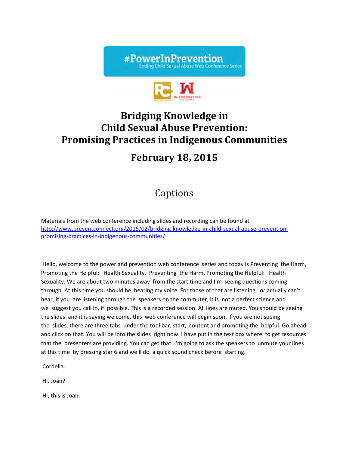



# **Bridging Knowledge** in **Child Sexual Abuse Prevention: Promising Practices in Indigenous Communities**

## **February 18, 2015**

## Captions

Materials from the web conference including slides and recording can be found at http://www.preventconnect.org/2015/02/bridging-knowledge-in-child-sexual-abuse-preventionpromising‐practices‐in‐indigenous‐communities/

Hello, welcome to the power and prevention web conference series and today is Preventing the Harm, Promoting the Helpful: Health Sexuality. Preventing the Harm, Promoting the Helpful: Health Sexuality. We are about two minutes away from the start time and I'm seeing questions coming through. At this time you should be hearing my voice. For those of that are listening, or actually can't hear, if you are listening through the speakers on the commuter, it is not a perfect science and we suggest you call in, if possible. This is a recorded session. All lines are muted. You should be seeing the slides and it is saying welcome, this web conference will begin soon. If you are not seeing the slides, there are three tabs under the tool bar, start, content and promoting the helpful. Go ahead and click on that. You will be into the slides right now. I have put in the text box where to get resources that the presenters are providing. You can get that. I'm going to ask the speakers to unmute your lines at this time by pressing star 6 and we'll do a quick sound check before starting.

Cordelia.

Hi. Joan?

Hi, this is Joan.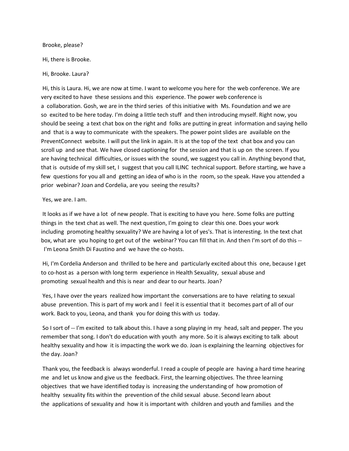Brooke, please?

Hi, there is Brooke.

Hi, Brooke. Laura?

Hi, this is Laura. Hi, we are now at time. I want to welcome you here for the web conference. We are very excited to have these sessions and this experience. The power web conference is a collaboration. Gosh, we are in the third series of this initiative with Ms. Foundation and we are so excited to be here today. I'm doing a little tech stuff and then introducing myself. Right now, you should be seeing a text chat box on the right and folks are putting in great information and saying hello and that is a way to communicate with the speakers. The power point slides are available on the PreventConnect website. I will put the link in again. It is at the top of the text chat box and you can scroll up and see that. We have closed captioning for the session and that is up on the screen. If you are having technical difficulties, or issues with the sound, we suggest you call in. Anything beyond that, that is outside of my skill set, I suggest that you call ILINC technical support. Before starting, we have a few questions for you all and getting an idea of who is in the room, so the speak. Have you attended a prior webinar? Joan and Cordelia, are you seeing the results?

Yes, we are. I am.

It looks as if we have a lot of new people. That is exciting to have you here. Some folks are putting things in the text chat as well. The next question, I'm going to clear this one. Does your work including promoting healthy sexuality? We are having a lot of yes's. That is interesting. In the text chat box, what are you hoping to get out of the webinar? You can fill that in. And then I'm sort of do this --I'm Leona Smith Di Faustino and we have the co-hosts.

Hi, I'm Cordelia Anderson and thrilled to be here and particularly excited about this one, because I get to co-host as a person with long term experience in Health Sexuality, sexual abuse and promoting sexual health and this is near and dear to our hearts. Joan?

Yes, I have over the years realized how important the conversations are to have relating to sexual abuse prevention. This is part of my work and I feel it is essential that it becomes part of all of our work. Back to you, Leona, and thank you for doing this with us today.

So I sort of ‐‐ I'm excited to talk about this. I have a song playing in my head, salt and pepper. The you remember that song. I don't do education with youth any more. So it is always exciting to talk about healthy sexuality and how it is impacting the work we do. Joan is explaining the learning objectives for the day. Joan?

Thank you, the feedback is always wonderful. I read a couple of people are having a hard time hearing me and let us know and give us the feedback. First, the learning objectives. The three learning objectives that we have identified today is increasing the understanding of how promotion of healthy sexuality fits within the prevention of the child sexual abuse. Second learn about the applications of sexuality and how it is important with children and youth and families and the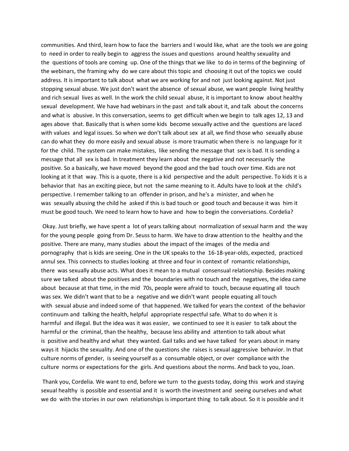communities. And third, learn how to face the barriers and I would like, what are the tools we are going to need in order to really begin to aggress the issues and questions around healthy sexuality and the questions of tools are coming up. One of the things that we like to do in terms of the beginning of the webinars, the framing why do we care about this topic and choosing it out of the topics we could address. It is important to talk about what we are working for and not just looking against. Not just stopping sexual abuse. We just don't want the absence of sexual abuse, we want people living healthy and rich sexual lives as well. In the work the child sexual abuse, it is important to know about healthy sexual development. We have had webinars in the past and talk about it, and talk about the concerns and what is abusive. In this conversation, seems to get difficult when we begin to talk ages 12, 13 and ages above that. Basically that is when some kids become sexually active and the questions are laced with values and legal issues. So when we don't talk about sex at all, we find those who sexually abuse can do what they do more easily and sexual abuse is more traumatic when there is no language for it for the child. The system can make mistakes, like sending the message that sex is bad. It is sending a message that all sex is bad. In treatment they learn about the negative and not necessarily the positive. So a basically, we have moved beyond the good and the bad touch over time. Kids are not looking at it that way. This is a quote, there is a kid perspective and the adult perspective. To kids it is a behavior that has an exciting piece, but not the same meaning to it. Adults have to look at the child's perspective. I remember talking to an offender in prison, and he's a minister, and when he was sexually abusing the child he asked if this is bad touch or good touch and because it was him it must be good touch. We need to learn how to have and how to begin the conversations. Cordelia?

Okay. Just briefly, we have spent a lot of years talking about normalization of sexual harm and the way for the young people going from Dr. Seuss to harm. We have to draw attention to the healthy and the positive. There are many, many studies about the impact of the images of the media and pornography that is kids are seeing. One in the UK speaks to the 16‐18‐year‐olds, expected, practiced annul sex. This connects to studies looking at three and four in context of romantic relationships, there was sexually abuse acts. What does it mean to a mutual consensual relationship. Besides making sure we talked about the positives and the boundaries with no touch and the negatives, the idea came about because at that time, in the mid 70s, people were afraid to touch, because equating all touch was sex. We didn't want that to be a negative and we didn't want people equating all touch with sexual abuse and indeed some of that happened. We talked for years the context of the behavior continuum and talking the health, helpful appropriate respectful safe. What to do when it is harmful and illegal. But the idea was it was easier, we continued to see it is easier to talk about the harmful or the criminal, than the healthy, because less ability and attention to talk about what is positive and healthy and what they wanted. Gail talks and we have talked for years about in many ways it hijacks the sexuality. And one of the questions she raises is sexual aggressive behavior. In that culture norms of gender, is seeing yourself as a consumable object, or over compliance with the culture norms or expectations for the girls. And questions about the norms. And back to you, Joan.

Thank you, Cordelia. We want to end, before we turn to the guests today, doing this work and staying sexual healthy is possible and essential and it is worth the investment and seeing ourselves and what we do with the stories in our own relationships is important thing to talk about. So it is possible and it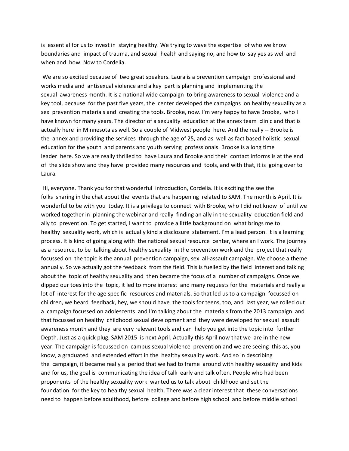is essential for us to invest in staying healthy. We trying to wave the expertise of who we know boundaries and impact of trauma, and sexual health and saying no, and how to say yes as well and when and how. Now to Cordelia.

We are so excited because of two great speakers. Laura is a prevention campaign professional and works media and antisexual violence and a key part is planning and implementing the sexual awareness month. It is a national wide campaign to bring awareness to sexual violence and a key tool, because for the past five years, the center developed the campaigns on healthy sexuality as a sex prevention materials and creating the tools. Brooke, now. I'm very happy to have Brooke, who I have known for many years. The director of a sexuality education at the annex team clinic and that is actually here in Minnesota as well. So a couple of Midwest people here. And the really ‐‐ Brooke is the annex and providing the services through the age of 25, and as well as fact based holistic sexual education for the youth and parents and youth serving professionals. Brooke is a long time leader here. So we are really thrilled to have Laura and Brooke and their contact informs is at the end of the slide show and they have provided many resources and tools, and with that, it is going over to Laura.

Hi, everyone. Thank you for that wonderful introduction, Cordelia. It is exciting the see the folks sharing in the chat about the events that are happening related to SAM. The month is April. It is wonderful to be with you today. It is a privilege to connect with Brooke, who I did not know of until we worked together in planning the webinar and really finding an ally in the sexuality education field and ally to prevention. To get started, I want to provide a little background on what brings me to healthy sexuality work, which is actually kind a disclosure statement. I'm a lead person. It is a learning process. It is kind of going along with the national sexual resource center, where an I work. The journey as a resource, to be talking about healthy sexuality in the prevention work and the project that really focussed on the topic is the annual prevention campaign, sex all‐assault campaign. We choose a theme annually. So we actually got the feedback from the field. This is fuelled by the field interest and talking about the topic of healthy sexuality and then became the focus of a number of campaigns. Once we dipped our toes into the topic, it led to more interest and many requests for the materials and really a lot of interest for the age specific resources and materials. So that led us to a campaign focussed on children, we heard feedback, hey, we should have the tools for teens, too, and last year, we rolled out a campaign focussed on adolescents and I'm talking about the materials from the 2013 campaign and that focussed on healthy childhood sexual development and they were developed for sexual assault awareness month and they are very relevant tools and can help you get into the topic into further Depth. Just as a quick plug, SAM 2015 is next April. Actually this April now that we are in the new year. The campaign is focussed on campus sexual violence prevention and we are seeing this as, you know, a graduated and extended effort in the healthy sexuality work. And so in describing the campaign, it became really a period that we had to frame around with healthy sexuality and kids and for us, the goal is communicating the idea of talk early and talk often. People who had been proponents of the healthy sexuality work wanted us to talk about childhood and set the foundation for the key to healthy sexual health. There was a clear interest that these conversations need to happen before adulthood, before college and before high school and before middle school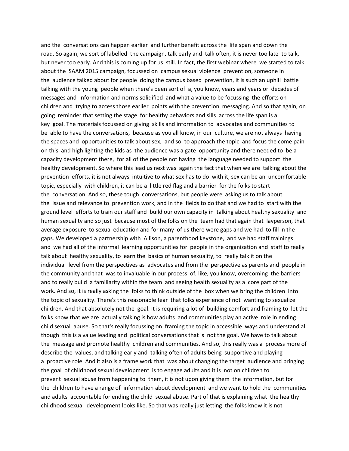and the conversations can happen earlier and further benefit across the life span and down the road. So again, we sort of labelled the campaign, talk early and talk often, it is never too late to talk, but never too early. And this is coming up for us still. In fact, the first webinar where we started to talk about the SAAM 2015 campaign, focussed on campus sexual violence prevention, someone in the audience talked about for people doing the campus based prevention, it is such an uphill battle talking with the young people when there's been sort of a, you know, years and years or decades of messages and information and norms solidified and what a value to be focussing the efforts on children and trying to access those earlier points with the prevention messaging. And so that again, on going reminder that setting the stage for healthy behaviors and sills across the life span is a key goal. The materials focussed on giving skills and information to advocates and communities to be able to have the conversations, because as you all know, in our culture, we are not always having the spaces and opportunities to talk about sex, and so, to approach the topic and focus the come pain on this and high lighting the kids as the audience was a gate opportunity and there needed to be a capacity development there, for all of the people not having the language needed to support the healthy development. So where this lead us next was again the fact that when we are talking about the prevention efforts, it is not always intuitive to what sex has to do with it, sex can be an uncomfortable topic, especially with children, it can be a little red flag and a barrier for the folks to start the conversation. And so, these tough conversations, but people were asking us to talk about the issue and relevance to prevention work, and in the fields to do that and we had to start with the ground level efforts to train our staff and build our own capacity in talking about healthy sexuality and human sexuality and so just because most of the folks on the team had that again that layperson, that average exposure to sexual education and for many of us there were gaps and we had to fill in the gaps. We developed a partnership with Allison, a parenthood keystone, and we had staff trainings and we had all of the informal learning opportunities for people in the organization and staff to really talk about healthy sexuality, to learn the basics of human sexuality, to really talk it on the individual level from the perspectives as advocates and from the perspective as parents and people in the community and that was to invaluable in our process of, like, you know, overcoming the barriers and to really build a familiarity within the team and seeing health sexuality as a core part of the work. And so, it is really asking the folks to think outside of the box when we bring the children into the topic of sexuality. There's this reasonable fear that folks experience of not wanting to sexualize children. And that absolutely not the goal. It is requiring a lot of building comfort and framing to let the folks know that we are actually talking is how adults and communities play an active role in ending child sexual abuse. So that's really focussing on framing the topic in accessible ways and understand all though this is a value leading and political conversations that is not the goal. We have to talk about the message and promote healthy children and communities. And so, this really was a process more of describe the values, and talking early and talking often of adults being supportive and playing a proactive role. And it also is a frame work that was about changing the target audience and bringing the goal of childhood sexual development is to engage adults and it is not on children to prevent sexual abuse from happening to them, it is not upon giving them the information, but for the children to have a range of information about development and we want to hold the communities and adults accountable for ending the child sexual abuse. Part of that is explaining what the healthy childhood sexual development looks like. So that was really just letting the folks know it is not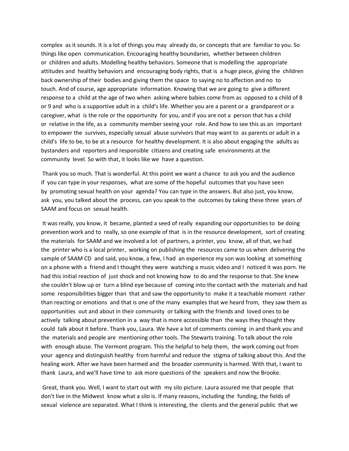complex as it sounds. It is a lot of things you may already do, or concepts that are familiar to you. So things like open communication. Encouraging healthy boundaries, whether between children or children and adults. Modelling healthy behaviors. Someone that is modelling the appropriate attitudes and healthy behaviors and encouraging body rights, that is a huge piece, giving the children back ownership of their bodies and giving them the space to saying no to affection and no to touch. And of course, age appropriate information. Knowing that we are going to give a different response to a child at the age of two when asking where babies come from as opposed to a child of 8 or 9 and who is a supportive adult in a child's life. Whether you are a parent or a grandparent or a caregiver, what is the role or the opportunity for you, and if you are not a person that has a child or relative in the life, as a community member seeing your role. And how to see this as an important to empower the survives, especially sexual abuse survivors that may want to as parents or adult in a child's life to be, to be at a resource for healthy development. It is also about engaging the adults as bystanders and reporters and responsible citizens and creating safe environments at the community level. So with that, it looks like we have a question.

Thank you so much. That is wonderful. At this point we want a chance to ask you and the audience if you can type in your responses, what are some of the hopeful outcomes that you have seen by promoting sexual health on your agenda? You can type in the answers. But also just, you know, ask you, you talked about the process, can you speak to the outcomes by taking these three years of SAAM and focus on sexual health.

It was really, you know, it became, planted a seed of really expanding our opportunities to be doing prevention work and to really, so one example of that is in the resource development, sort of creating the materials for SAAM and we involved a lot of partners, a printer, you know, all of that, we had the printer who is a local printer, working on publishing the resources came to us when delivering the sample of SAAM CD and said, you know, a few, I had an experience my son was looking at something on a phone with a friend and I thought they were watching a music video and I noticed it was porn. He had this initial reaction of just shock and not knowing how to do and the response to that. She knew she couldn't blow up or turn a blind eye because of coming into the contact with the materials and had some responsibilities bigger than that and saw the opportunity to make it a teachable moment rather than reacting or emotions and that is one of the many examples that we heard from, they saw them as opportunities out and about in their community or talking with the friends and loved ones to be actively talking about prevention in a way that is more accessible than the ways they thought they could talk about it before. Thank you, Laura. We have a lot of comments coming in and thank you and the materials and people are mentioning other tools. The Stewarts training. To talk about the role with enough abuse. The Vermont program. This the helpful to help them, the work coming out from your agency and distinguish healthy from harmful and reduce the stigma of talking about this. And the healing work. After we have been harmed and the broader community is harmed. With that, I want to thank Laura, and we'll have time to ask more questions of the speakers and now the Brooke.

Great, thank you. Well, I want to start out with my silo picture. Laura assured me that people that don't live in the Midwest know what a silo is. If many reasons, including the funding, the fields of sexual violence are separated. What I think is interesting, the clients and the general public that we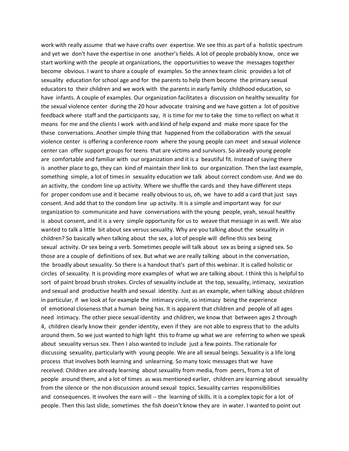work with really assume that we have crafts over expertise. We see this as part of a holistic spectrum and yet we don't have the expertise in one another's fields. A lot of people probably know, once we start working with the people at organizations, the opportunities to weave the messages together become obvious. I want to share a couple of examples. So the annex team clinic provides a lot of sexuality education for school age and for the parents to help them become the primary sexual educators to their children and we work with the parents in early family childhood education, so have infants. A couple of examples. Our organization facilitates a discussion on healthy sexuality for the sexual violence center during the 20 hour advocate training and we have gotten a lot of positive feedback where staff and the participants say, it is time for me to take the time to reflect on what it means for me and the clients I work with and kind of help expand and make more space for the these conversations. Another simple thing that happened from the collaboration with the sexual violence center is offering a conference room where the young people can meet and sexual violence center can offer support groups for teens that are victims and survivors. So already young people are comfortable and familiar with our organization and it is a beautiful fit. Instead of saying there is another place to go, they can kind of maintain their link to our organization. Then the last example, something simple, a lot of times in sexuality education we talk about correct condom use. And we do an activity, the condom line up activity. Where we shuffle the cards and they have different steps for proper condom use and it became really obvious to us, oh, we have to add a card that just says consent. And add that to the condom line up activity. It is a simple and important way for our organization to communicate and have conversations with the young people, yeah, sexual healthy is about consent, and it is a very simple opportunity for us to weave that message in as well. We also wanted to talk a little bit about sex versus sexuality. Why are you talking about the sexuality in children? So basically when talking about the sex, a lot of people will define this sex being sexual activity. Or sex being a verb. Sometimes people will talk about sex as being a signed sex. So those are a couple of definitions of sex. But what we are really talking about in the conversation, the broadly about sexuality. So there is a handout that's part of this webinar. It is called holistic or circles of sexuality. It is providing more examples of what we are talking about. I think this is helpful to sort of paint broad brush strokes. Circles of sexuality include at the top, sexuality, intimacy, sexization and sexual and productive health and sexual identity. Just as an example, when talking about children in particular, if we look at for example the intimacy circle, so intimacy being the experience of emotional closeness that a human being has. It is apparent that children and people of all ages need intimacy. The other piece sexual identity and children, we know that between ages 2 through 4, children clearly know their gender identity, even if they are not able to express that to the adults around them. So we just wanted to high light this to frame up what we are referring to when we speak about sexuality versus sex. Then I also wanted to include just a few points. The rationale for discussing sexuality, particularly with young people. We are all sexual beings. Sexuality is a life long process that involves both learning and unlearning. So many toxic messages that we have received. Children are already learning about sexuality from media, from peers, from a lot of people around them, and a lot of times as was mentioned earlier, children are learning about sexuality from the silence or the non discussion around sexual topics. Sexuality carries responsibilities and consequences. It involves the earn will -- the learning of skills. It is a complex topic for a lot of people. Then this last slide, sometimes the fish doesn't know they are in water. I wanted to point out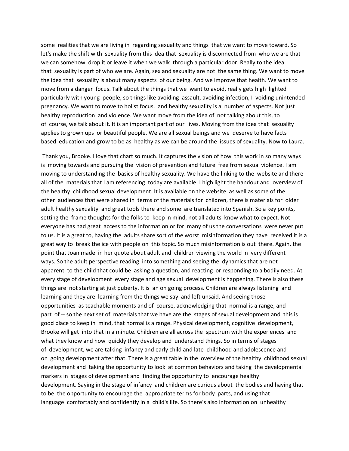some realities that we are living in regarding sexuality and things that we want to move toward. So let's make the shift with sexuality from this idea that sexuality is disconnected from who we are that we can somehow drop it or leave it when we walk through a particular door. Really to the idea that sexuality is part of who we are. Again, sex and sexuality are not the same thing. We want to move the idea that sexuality is about many aspects of our being. And we improve that health. We want to move from a danger focus. Talk about the things that we want to avoid, really gets high lighted particularly with young people, so things like avoiding assault, avoiding infection, I voiding unintended pregnancy. We want to move to holist focus, and healthy sexuality is a number of aspects. Not just healthy reproduction and violence. We want move from the idea of not talking about this, to of course, we talk about it. It is an important part of our lives. Moving from the idea that sexuality applies to grown ups or beautiful people. We are all sexual beings and we deserve to have facts based education and grow to be as healthy as we can be around the issues of sexuality. Now to Laura.

Thank you, Brooke. I love that chart so much. It captures the vision of how this work in so many ways is moving towards and pursuing the vision of prevention and future free from sexual violence. I am moving to understanding the basics of healthy sexuality. We have the linking to the website and there all of the materials that I am referencing today are available. I high light the handout and overview of the healthy childhood sexual development. It is available on the website as well as some of the other audiences that were shared in terms of the materials for children, there is materials for older adult healthy sexuality and great tools there and some are translated into Spanish. So a key points, setting the frame thoughts for the folks to keep in mind, not all adults know what to expect. Not everyone has had great access to the information or for many of us the conversations were never put to us. It is a great to, having the adults share sort of the worst misinformation they have received it is a great way to break the ice with people on this topic. So much misinformation is out there. Again, the point that Joan made in her quote about adult and children viewing the world in very different ways. So the adult perspective reading into something and seeing the dynamics that are not apparent to the child that could be asking a question, and reacting or responding to a bodily need. At every stage of development every stage and age sexual development is happening. There is also these things are not starting at just puberty. It is an on going process. Children are always listening and learning and they are learning from the things we say and left unsaid. And seeing those opportunities as teachable moments and of course, acknowledging that normal is a range, and part of -- so the next set of materials that we have are the stages of sexual development and this is good place to keep in mind, that normal is a range. Physical development, cognitive development, Brooke will get into that in a minute. Children are all across the spectrum with the experiences and what they know and how quickly they develop and understand things. So in terms of stages of development, we are talking infancy and early child and late childhood and adolescence and on going development after that. There is a great table in the overview of the healthy childhood sexual development and taking the opportunity to look at common behaviors and taking the developmental markers in stages of development and finding the opportunity to encourage healthy development. Saying in the stage of infancy and children are curious about the bodies and having that to be the opportunity to encourage the appropriate terms for body parts, and using that language comfortably and confidently in a child's life. So there's also information on unhealthy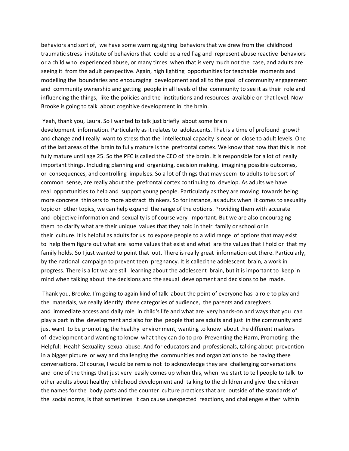behaviors and sort of, we have some warning signing behaviors that we drew from the childhood traumatic stress institute of behaviors that could be a red flag and represent abuse reactive behaviors or a child who experienced abuse, or many times when that is very much not the case, and adults are seeing it from the adult perspective. Again, high lighting opportunities for teachable moments and modelling the boundaries and encouraging development and all to the goal of community engagement and community ownership and getting people in all levels of the community to see it as their role and influencing the things, like the policies and the institutions and resources available on that level. Now Brooke is going to talk about cognitive development in the brain.

#### Yeah, thank you, Laura. So I wanted to talk just briefly about some brain

development information. Particularly as it relates to adolescents. That is a time of profound growth and change and I really want to stress that the intellectual capacity is near or close to adult levels. One of the last areas of the brain to fully mature is the prefrontal cortex. We know that now that this is not fully mature until age 25. So the PFC is called the CEO of the brain. It is responsible for a lot of really important things. Including planning and organizing, decision making, imagining possible outcomes, or consequences, and controlling impulses. So a lot of things that may seem to adults to be sort of common sense, are really about the prefrontal cortex continuing to develop. As adults we have real opportunities to help and support young people. Particularly as they are moving towards being more concrete thinkers to more abstract thinkers. So for instance, as adults when it comes to sexuality topic or other topics, we can help expand the range of the options. Providing them with accurate and objective information and sexuality is of course very important. But we are also encouraging them to clarify what are their unique values that they hold in their family or school or in their culture. It is helpful as adults for us to expose people to a wild range of options that may exist to help them figure out what are some values that exist and what are the values that I hold or that my family holds. So I just wanted to point that out. There is really great information out there. Particularly, by the national campaign to prevent teen pregnancy. It is called the adolescent brain, a work in progress. There is a lot we are still learning about the adolescent brain, but it is important to keep in mind when talking about the decisions and the sexual development and decisions to be made.

Thank you, Brooke. I'm going to again kind of talk about the point of everyone has a role to play and the materials, we really identify three categories of audience, the parents and caregivers and immediate access and daily role in child's life and what are very hands-on and ways that you can play a part in the development and also for the people that are adults and just in the community and just want to be promoting the healthy environment, wanting to know about the different markers of development and wanting to know what they can do to pro Preventing the Harm, Promoting the Helpful: Health Sexuality sexual abuse. And for educators and professionals, talking about prevention in a bigger picture or way and challenging the communities and organizations to be having these conversations. Of course, I would be remiss not to acknowledge they are challenging conversations and one of the things that just very easily comes up when this, when we start to tell people to talk to other adults about healthy childhood development and talking to the children and give the children the names for the body parts and the counter culture practices that are outside of the standards of the social norms, is that sometimes it can cause unexpected reactions, and challenges either within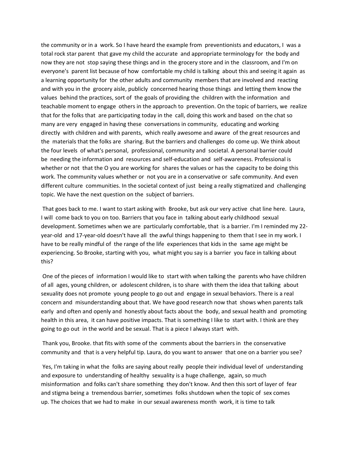the community or in a work. So I have heard the example from preventionists and educators, I was a total rock star parent that gave my child the accurate and appropriate terminology for the body and now they are not stop saying these things and in the grocery store and in the classroom, and I'm on everyone's parent list because of how comfortable my child is talking about this and seeing it again as a learning opportunity for the other adults and community members that are involved and reacting and with you in the grocery aisle, publicly concerned hearing those things and letting them know the values behind the practices, sort of the goals of providing the children with the information and teachable moment to engage others in the approach to prevention. On the topic of barriers, we realize that for the folks that are participating today in the call, doing this work and based on the chat so many are very engaged in having these conversations in community, educating and working directly with children and with parents, which really awesome and aware of the great resources and the materials that the folks are sharing. But the barriers and challenges do come up. We think about the four levels of what's personal, professional, community and societal. A personal barrier could be needing the information and resources and self‐education and self‐awareness. Professional is whether or not that the O you are working for shares the values or has the capacity to be doing this work. The community values whether or not you are in a conservative or safe community. And even different culture communities. In the societal context of just being a really stigmatized and challenging topic. We have the next question on the subject of barriers.

That goes back to me. I want to start asking with Brooke, but ask our very active chat line here. Laura, I will come back to you on too. Barriers that you face in talking about early childhood sexual development. Sometimes when we are particularly comfortable, that is a barrier. I'm I reminded my 22‐ year-old and 17-year-old doesn't have all the awful things happening to them that I see in my work. I have to be really mindful of the range of the life experiences that kids in the same age might be experiencing. So Brooke, starting with you, what might you say is a barrier you face in talking about this?

One of the pieces of information I would like to start with when talking the parents who have children of all ages, young children, or adolescent children, is to share with them the idea that talking about sexuality does not promote young people to go out and engage in sexual behaviors. There is a real concern and misunderstanding about that. We have good research now that shows when parents talk early and often and openly and honestly about facts about the body, and sexual health and promoting health in this area, it can have positive impacts. That is something I like to start with. I think are they going to go out in the world and be sexual. That is a piece I always start with.

Thank you, Brooke. that fits with some of the comments about the barriers in the conservative community and that is a very helpful tip. Laura, do you want to answer that one on a barrier you see?

Yes, I'm taking in what the folks are saying about really people their individual level of understanding and exposure to understanding of healthy sexuality is a huge challenge, again, so much misinformation and folks can't share something they don't know. And then this sort of layer of fear and stigma being a tremendous barrier, sometimes folks shutdown when the topic of sex comes up. The choices that we had to make in our sexual awareness month work, it is time to talk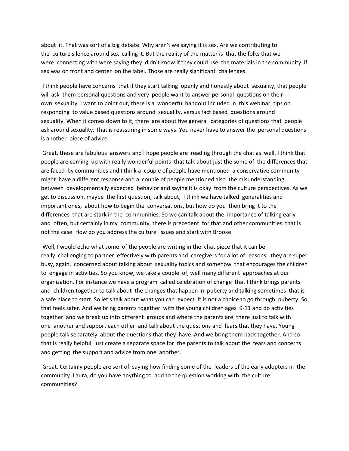about it. That was sort of a big debate. Why aren't we saying it is sex. Are we contributing to the culture silence around sex calling it. But the reality of the matter is that the folks that we were connecting with were saying they didn't know if they could use the materials in the community if sex was on front and center on the label. Those are really significant challenges.

I think people have concerns that if they start talking openly and honestly about sexuality, that people will ask them personal questions and very people want to answer personal questions on their own sexuality. I want to point out, there is a wonderful handout included in this webinar, tips on responding to value based questions around sexuality, versus fact based questions around sexuality. When it comes down to it, there are about five general categories of questions that people ask around sexuality. That is reassuring in some ways. You never have to answer the personal questions is another piece of advice.

Great, these are fabulous answers and I hope people are reading through the chat as well. I think that people are coming up with really wonderful points that talk about just the some of the differences that are faced by communities and I think a couple of people have mentioned a conservative community might have a different response and a couple of people mentioned also the misunderstanding between developmentally expected behavior and saying it is okay from the culture perspectives. As we get to discussion, maybe the first question, talk about, I think we have talked generalities and important ones, about how to begin the conversations, but how do you then bring it to the differences that are stark in the communities. So we can talk about the importance of talking early and often, but certainly in my community, there is precedent for that and other communities that is not the case. How do you address the culture issues and start with Brooke.

Well, I would echo what some of the people are writing in the chat piece that it can be really challenging to partner effectively with parents and caregivers for a lot of reasons, they are super busy, again, concerned about talking about sexuality topics and somehow that encourages the children to engage in activities. So you know, we take a couple of, well many different approaches at our organization. For instance we have a program called celebration of change that I think brings parents and children together to talk about the changes that happen in puberty and talking sometimes that is a safe place to start. So let's talk about what you can expect. It is not a choice to go through puberty. So that feels safer. And we bring parents together with the young children ages 9‐11 and do activities together and we break up into different groups and where the parents are there just to talk with one another and support each other and talk about the questions and fears that they have. Young people talk separately about the questions that they have. And we bring them back together. And so that is really helpful just create a separate space for the parents to talk about the fears and concerns and getting the support and advice from one another.

Great. Certainly people are sort of saying how finding some of the leaders of the early adopters in the community. Laura, do you have anything to add to the question working with the culture communities?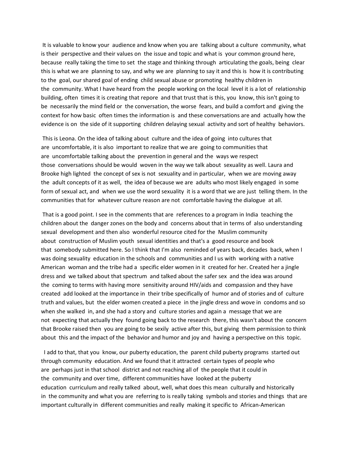It is valuable to know your audience and know when you are talking about a culture community, what is their perspective and their values on the issue and topic and what is your common ground here, because really taking the time to set the stage and thinking through articulating the goals, being clear this is what we are planning to say, and why we are planning to say it and this is how it is contributing to the goal, our shared goal of ending child sexual abuse or promoting healthy children in the community. What I have heard from the people working on the local level it is a lot of relationship building, often times it is creating that repore and that trust that is this, you know, this isn't going to be necessarily the mind field or the conversation, the worse fears, and build a comfort and giving the context for how basic often times the information is and these conversations are and actually how the evidence is on the side of it supporting children delaying sexual activity and sort of healthy behaviors.

This is Leona. On the idea of talking about culture and the idea of going into cultures that are uncomfortable, it is also important to realize that we are going to communities that are uncomfortable talking about the prevention in general and the ways we respect those conversations should be would woven in the way we talk about sexuality as well. Laura and Brooke high lighted the concept of sex is not sexuality and in particular, when we are moving away the adult concepts of it as well, the idea of because we are adults who most likely engaged in some form of sexual act, and when we use the word sexuality it is a word that we are just telling them. In the communities that for whatever culture reason are not comfortable having the dialogue at all.

That is a good point. I see in the comments that are references to a program in India teaching the children about the danger zones on the body and concerns about that in terms of also understanding sexual development and then also wonderful resource cited for the Muslim community about construction of Muslim youth sexual identities and that's a good resource and book that somebody submitted here. So I think that I'm also reminded of years back, decades back, when I was doing sexuality education in the schools and communities and I us with working with a native American woman and the tribe had a specific elder women in it created for her. Created her a jingle dress and we talked about that spectrum and talked about the safer sex and the idea was around the coming to terms with having more sensitivity around HIV/aids and compassion and they have created add looked at the importance in their tribe specifically of humor and of stories and of culture truth and values, but the elder women created a piece in the jingle dress and wove in condoms and so when she walked in, and she had a story and culture stories and again a message that we are not expecting that actually they found going back to the research there, this wasn't about the concern that Brooke raised then you are going to be sexily active after this, but giving them permission to think about this and the impact of the behavior and humor and joy and having a perspective on this topic.

 I add to that, that you know, our puberty education, the parent child puberty programs started out through community education. And we found that it attracted certain types of people who are perhaps just in that school district and not reaching all of the people that it could in the community and over time, different communities have looked at the puberty education curriculum and really talked about, well, what does this mean culturally and historically in the community and what you are referring to is really taking symbols and stories and things that are important culturally in different communities and really making it specific to African‐American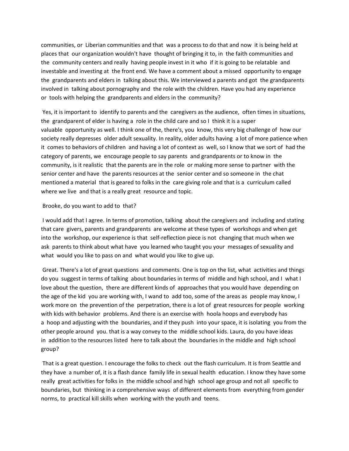communities, or Liberian communities and that was a process to do that and now it is being held at places that our organization wouldn't have thought of bringing it to, in the faith communities and the community centers and really having people invest in it who if it is going to be relatable and investable and investing at the front end. We have a comment about a missed opportunity to engage the grandparents and elders in talking about this. We interviewed a parents and got the grandparents involved in talking about pornography and the role with the children. Have you had any experience or tools with helping the grandparents and elders in the community?

Yes, it is important to identify to parents and the caregivers as the audience, often times in situations, the grandparent of elder is having a role in the child care and so I think it is a super valuable opportunity as well. I think one of the, there's, you know, this very big challenge of how our society really depresses older adult sexuality. In reality, older adults having a lot of more patience when it comes to behaviors of children and having a lot of context as well, so I know that we sort of had the category of parents, we encourage people to say parents and grandparents or to know in the community, is it realistic that the parents are in the role or making more sense to partner with the senior center and have the parents resources at the senior center and so someone in the chat mentioned a material that is geared to folks in the care giving role and that is a curriculum called where we live and that is a really great resource and topic.

#### Brooke, do you want to add to that?

I would add that I agree. In terms of promotion, talking about the caregivers and including and stating that care givers, parents and grandparents are welcome at these types of workshops and when get into the workshop, our experience is that self-reflection piece is not changing that much when we ask parents to think about what have you learned who taught you your messages of sexuality and what would you like to pass on and what would you like to give up.

Great. There's a lot of great questions and comments. One is top on the list, what activities and things do you suggest in terms of talking about boundaries in terms of middle and high school, and I what I love about the question, there are different kinds of approaches that you would have depending on the age of the kid you are working with, I wand to add too, some of the areas as people may know, I work more on the prevention of the perpetration, there is a lot of great resources for people working with kids with behavior problems. And there is an exercise with hoola hoops and everybody has a hoop and adjusting with the boundaries, and if they push into your space, it is isolating you from the other people around you. that is a way convey to the middle school kids. Laura, do you have ideas in addition to the resources listed here to talk about the boundaries in the middle and high school group?

That is a great question. I encourage the folks to check out the flash curriculum. It is from Seattle and they have a number of, it is a flash dance family life in sexual health education. I know they have some really great activities for folks in the middle school and high school age group and not all specific to boundaries, but thinking in a comprehensive ways of different elements from everything from gender norms, to practical kill skills when working with the youth and teens.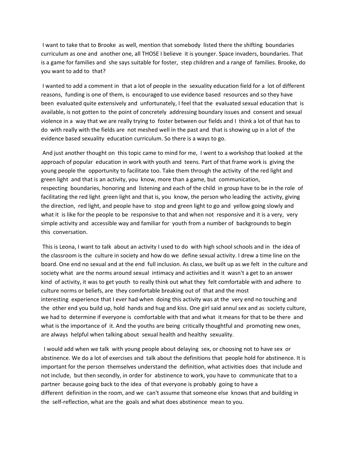I want to take that to Brooke as well, mention that somebody listed there the shifting boundaries curriculum as one and another one, all THOSE I believe it is younger. Space invaders, boundaries. That is a game for families and she says suitable for foster, step children and a range of families. Brooke, do you want to add to that?

I wanted to add a comment in that a lot of people in the sexuality education field for a lot of different reasons, funding is one of them, is encouraged to use evidence based resources and so they have been evaluated quite extensively and unfortunately, I feel that the evaluated sexual education that is available, is not gotten to the point of concretely addressing boundary issues and consent and sexual violence in a way that we are really trying to foster between our fields and I think a lot of that has to do with really with the fields are not meshed well in the past and that is showing up in a lot of the evidence based sexuality education curriculum. So there is a ways to go.

And just another thought on this topic came to mind for me, I went to a workshop that looked at the approach of popular education in work with youth and teens. Part of that frame work is giving the young people the opportunity to facilitate too. Take them through the activity of the red light and green light and that is an activity, you know, more than a game, but communication, respecting boundaries, honoring and listening and each of the child in group have to be in the role of facilitating the red light green light and that is, you know, the person who leading the activity, giving the direction, red light, and people have to stop and green light to go and yellow going slowly and what it is like for the people to be responsive to that and when not responsive and it is a very, very simple activity and accessible way and familiar for youth from a number of backgrounds to begin this conversation.

This is Leona, I want to talk about an activity I used to do with high school schools and in the idea of the classroom is the culture in society and how do we define sexual activity. I drew a time line on the board. One end no sexual and at the end full inclusion. As class, we built up as we felt in the culture and society what are the norms around sexual intimacy and activities and it wasn't a get to an answer kind of activity, it was to get youth to really think out what they felt comfortable with and adhere to culture norms or beliefs, are they comfortable breaking out of that and the most interesting experience that I ever had when doing this activity was at the very end no touching and the other end you build up, hold hands and hug and kiss. One girl said annul sex and as society culture, we had to determine if everyone is comfortable with that and what it means for that to be there and what is the importance of it. And the youths are being critically thoughtful and promoting new ones, are always helpful when talking about sexual health and healthy sexuality.

 I would add when we talk with young people about delaying sex, or choosing not to have sex or abstinence. We do a lot of exercises and talk about the definitions that people hold for abstinence. It is important for the person themselves understand the definition, what activities does that include and not include, but then secondly, in order for abstinence to work, you have to communicate that to a partner because going back to the idea of that everyone is probably going to have a different definition in the room, and we can't assume that someone else knows that and building in the self‐reflection, what are the goals and what does abstinence mean to you.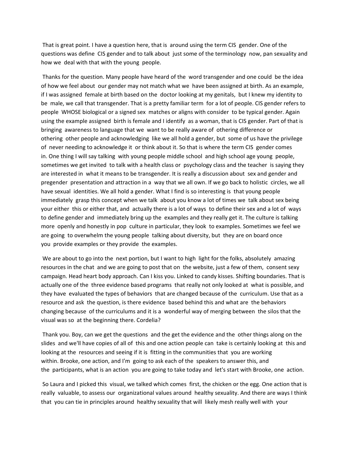That is great point. I have a question here, that is around using the term CIS gender. One of the questions was define CIS gender and to talk about just some of the terminology now, pan sexuality and how we deal with that with the young people.

Thanks for the question. Many people have heard of the word transgender and one could be the idea of how we feel about our gender may not match what we have been assigned at birth. As an example, if I was assigned female at birth based on the doctor looking at my genitals, but I knew my identity to be male, we call that transgender. That is a pretty familiar term for a lot of people. CIS gender refers to people WHOSE biological or a signed sex matches or aligns with consider to be typical gender. Again using the example assigned birth is female and I identify as a woman, that is CIS gender. Part of that is bringing awareness to language that we want to be really aware of othering difference or othering other people and acknowledging like we all hold a gender, but some of us have the privilege of never needing to acknowledge it or think about it. So that is where the term CIS gender comes in. One thing I will say talking with young people middle school and high school age young people, sometimes we get invited to talk with a health class or psychology class and the teacher is saying they are interested in what it means to be transgender. It is really a discussion about sex and gender and pregender presentation and attraction in a way that we all own. If we go back to holistic circles, we all have sexual identities. We all hold a gender. What I find is so interesting is that young people immediately grasp this concept when we talk about you know a lot of times we talk about sex being your either this or either that, and actually there is a lot of ways to define their sex and a lot of ways to define gender and immediately bring up the examples and they really get it. The culture is talking more openly and honestly in pop culture in particular, they look to examples. Sometimes we feel we are going to overwhelm the young people talking about diversity, but they are on board once you provide examples or they provide the examples.

We are about to go into the next portion, but I want to high light for the folks, absolutely amazing resources in the chat and we are going to post that on the website, just a few of them, consent sexy campaign. Head heart body approach. Can I kiss you. Linked to candy kisses. Shifting boundaries. That is actually one of the three evidence based programs that really not only looked at what is possible, and they have evaluated the types of behaviors that are changed because of the curriculum. Use that as a resource and ask the question, is there evidence based behind this and what are the behaviors changing because of the curriculums and it is a wonderful way of merging between the silos that the visual was so at the beginning there. Cordelia?

Thank you. Boy, can we get the questions and the get the evidence and the other things along on the slides and we'll have copies of all of this and one action people can take is certainly looking at this and looking at the resources and seeing if it is fitting in the communities that you are working within. Brooke, one action, and I'm going to ask each of the speakers to answer this, and the participants, what is an action you are going to take today and let's start with Brooke, one action.

So Laura and I picked this visual, we talked which comes first, the chicken or the egg. One action that is really valuable, to assess our organizational values around healthy sexuality. And there are ways I think that you can tie in principles around healthy sexuality that will likely mesh really well with your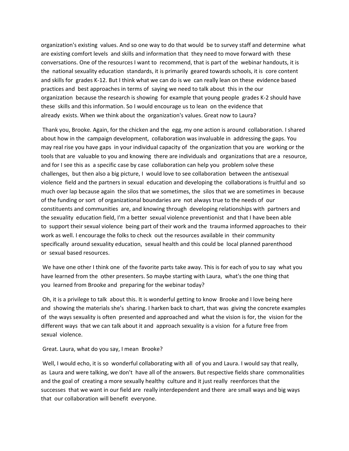organization's existing values. And so one way to do that would be to survey staff and determine what are existing comfort levels and skills and information that they need to move forward with these conversations. One of the resources I want to recommend, that is part of the webinar handouts, it is the national sexuality education standards, it is primarily geared towards schools, it is core content and skills for grades K‐12. But I think what we can do is we can really lean on these evidence based practices and best approaches in terms of saying we need to talk about this in the our organization because the research is showing for example that young people grades K‐2 should have these skills and this information. So I would encourage us to lean on the evidence that already exists. When we think about the organization's values. Great now to Laura?

Thank you, Brooke. Again, for the chicken and the egg, my one action is around collaboration. I shared about how in the campaign development, collaboration was invaluable in addressing the gaps. You may real rise you have gaps in your individual capacity of the organization that you are working or the tools that are valuable to you and knowing there are individuals and organizations that are a resource, and for I see this as a specific case by case collaboration can help you problem solve these challenges, but then also a big picture, I would love to see collaboration between the antisexual violence field and the partners in sexual education and developing the collaborations is fruitful and so much over lap because again the silos that we sometimes, the silos that we are sometimes in because of the funding or sort of organizational boundaries are not always true to the needs of our constituents and communities are, and knowing through developing relationships with partners and the sexuality education field, I'm a better sexual violence preventionist and that I have been able to support their sexual violence being part of their work and the trauma informed approaches to their work as well. I encourage the folks to check out the resources available in their community specifically around sexuality education, sexual health and this could be local planned parenthood or sexual based resources.

We have one other I think one of the favorite parts take away. This is for each of you to say what you have learned from the other presenters. So maybe starting with Laura, what's the one thing that you learned from Brooke and preparing for the webinar today?

Oh, it is a privilege to talk about this. It is wonderful getting to know Brooke and I love being here and showing the materials she's sharing. I harken back to chart, that was giving the concrete examples of the ways sexuality is often presented and approached and what the vision is for, the vision for the different ways that we can talk about it and approach sexuality is a vision for a future free from sexual violence.

Great. Laura, what do you say, I mean Brooke?

Well, I would echo, it is so wonderful collaborating with all of you and Laura. I would say that really, as Laura and were talking, we don't have all of the answers. But respective fields share commonalities and the goal of creating a more sexually healthy culture and it just really reenforces that the successes that we want in our field are really interdependent and there are small ways and big ways that our collaboration will benefit everyone.